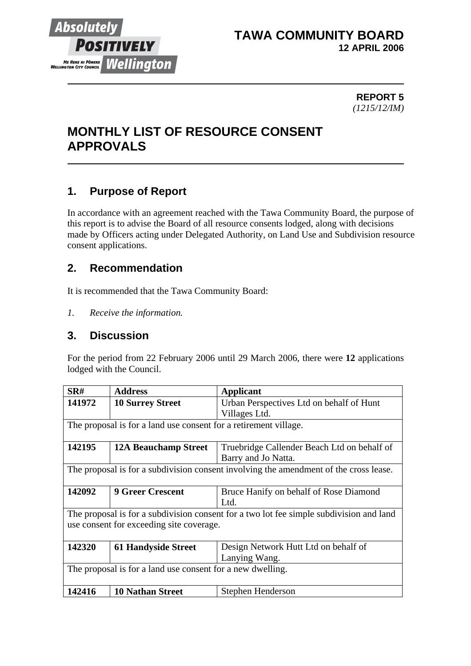

## **TAWA COMMUNITY BOARD 12 APRIL 2006**

#### **REPORT 5** *(1215/12/IM)*

# **MONTHLY LIST OF RESOURCE CONSENT APPROVALS**

# **1. Purpose of Report**

In accordance with an agreement reached with the Tawa Community Board, the purpose of this report is to advise the Board of all resource consents lodged, along with decisions made by Officers acting under Delegated Authority, on Land Use and Subdivision resource consent applications.

## **2. Recommendation**

It is recommended that the Tawa Community Board:

*1. Receive the information.*

### **3. Discussion**

For the period from 22 February 2006 until 29 March 2006, there were **12** applications lodged with the Council.

| SR#                                                                                     | <b>Address</b>              | Applicant                                   |  |  |
|-----------------------------------------------------------------------------------------|-----------------------------|---------------------------------------------|--|--|
| 141972                                                                                  | <b>10 Surrey Street</b>     | Urban Perspectives Ltd on behalf of Hunt    |  |  |
|                                                                                         |                             | Villages Ltd.                               |  |  |
| The proposal is for a land use consent for a retirement village.                        |                             |                                             |  |  |
|                                                                                         |                             |                                             |  |  |
| 142195                                                                                  | <b>12A Beauchamp Street</b> | Truebridge Callender Beach Ltd on behalf of |  |  |
|                                                                                         |                             | Barry and Jo Natta.                         |  |  |
| The proposal is for a subdivision consent involving the amendment of the cross lease.   |                             |                                             |  |  |
|                                                                                         |                             |                                             |  |  |
| 142092                                                                                  | <b>9 Greer Crescent</b>     | Bruce Hanify on behalf of Rose Diamond      |  |  |
|                                                                                         |                             | Ltd.                                        |  |  |
| The proposal is for a subdivision consent for a two lot fee simple subdivision and land |                             |                                             |  |  |
| use consent for exceeding site coverage.                                                |                             |                                             |  |  |
|                                                                                         |                             |                                             |  |  |
| 142320                                                                                  | <b>61 Handyside Street</b>  | Design Network Hutt Ltd on behalf of        |  |  |
|                                                                                         |                             | Lanying Wang.                               |  |  |
| The proposal is for a land use consent for a new dwelling.                              |                             |                                             |  |  |
|                                                                                         |                             |                                             |  |  |
| 142416                                                                                  | <b>10 Nathan Street</b>     | Stephen Henderson                           |  |  |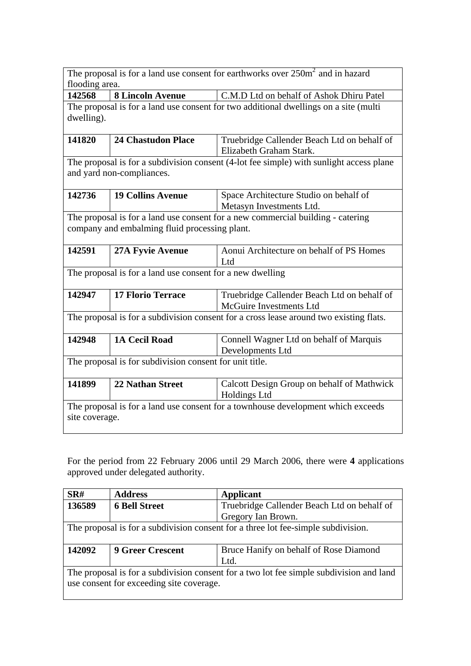| The proposal is for a land use consent for earthworks over $250m^2$ and in hazard<br>flooding area.                              |                           |                                                                        |  |  |
|----------------------------------------------------------------------------------------------------------------------------------|---------------------------|------------------------------------------------------------------------|--|--|
| 142568                                                                                                                           | <b>8 Lincoln Avenue</b>   | C.M.D Ltd on behalf of Ashok Dhiru Patel                               |  |  |
| The proposal is for a land use consent for two additional dwellings on a site (multi<br>dwelling).                               |                           |                                                                        |  |  |
| 141820                                                                                                                           | <b>24 Chastudon Place</b> | Truebridge Callender Beach Ltd on behalf of<br>Elizabeth Graham Stark. |  |  |
| The proposal is for a subdivision consent (4-lot fee simple) with sunlight access plane<br>and yard non-compliances.             |                           |                                                                        |  |  |
| 142736                                                                                                                           | <b>19 Collins Avenue</b>  | Space Architecture Studio on behalf of<br>Metasyn Investments Ltd.     |  |  |
| The proposal is for a land use consent for a new commercial building - catering<br>company and embalming fluid processing plant. |                           |                                                                        |  |  |
| 142591                                                                                                                           | <b>27A Fyvie Avenue</b>   | Aonui Architecture on behalf of PS Homes<br>Ltd                        |  |  |
| The proposal is for a land use consent for a new dwelling                                                                        |                           |                                                                        |  |  |
| 142947                                                                                                                           | <b>17 Florio Terrace</b>  | Truebridge Callender Beach Ltd on behalf of<br>McGuire Investments Ltd |  |  |
| The proposal is for a subdivision consent for a cross lease around two existing flats.                                           |                           |                                                                        |  |  |
| 142948                                                                                                                           | <b>1A Cecil Road</b>      | Connell Wagner Ltd on behalf of Marquis<br>Developments Ltd            |  |  |
| The proposal is for subdivision consent for unit title.                                                                          |                           |                                                                        |  |  |
| 141899                                                                                                                           | <b>22 Nathan Street</b>   | Calcott Design Group on behalf of Mathwick<br><b>Holdings Ltd</b>      |  |  |
| The proposal is for a land use consent for a townhouse development which exceeds<br>site coverage.                               |                           |                                                                        |  |  |

For the period from 22 February 2006 until 29 March 2006, there were **4** applications approved under delegated authority.

| SRH                                                                                     | <b>Address</b>          | <b>Applicant</b>                            |  |  |
|-----------------------------------------------------------------------------------------|-------------------------|---------------------------------------------|--|--|
| 136589                                                                                  | <b>6 Bell Street</b>    | Truebridge Callender Beach Ltd on behalf of |  |  |
|                                                                                         |                         | Gregory Ian Brown.                          |  |  |
| The proposal is for a subdivision consent for a three lot fee-simple subdivision.       |                         |                                             |  |  |
| 142092                                                                                  | <b>9 Greer Crescent</b> | Bruce Hanify on behalf of Rose Diamond      |  |  |
|                                                                                         |                         | Ltd.                                        |  |  |
| The proposal is for a subdivision consent for a two lot fee simple subdivision and land |                         |                                             |  |  |
| use consent for exceeding site coverage.                                                |                         |                                             |  |  |
|                                                                                         |                         |                                             |  |  |